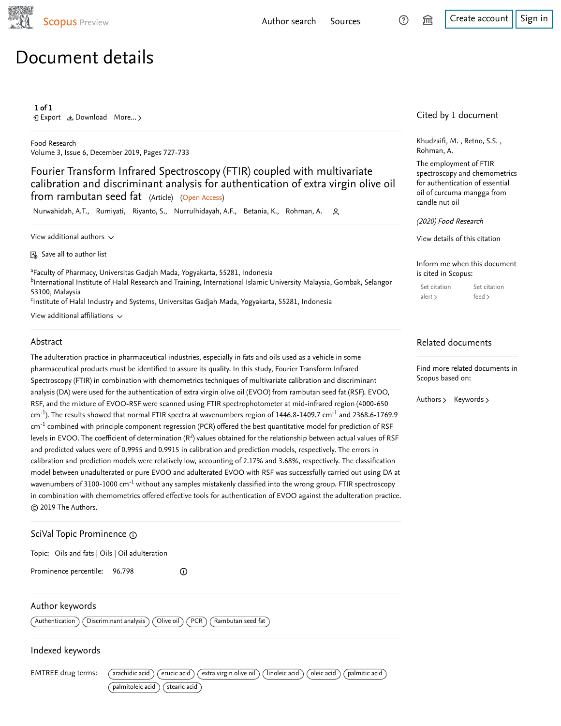

# Document details

#### 1 of 1

Export Download More... ▻

Food Research Volume 3, Issue 6, December 2019, Pages 727-733

Fourier Transform Infrared Spectroscopy (FTIR) coupled with multivariate calibration and discriminant analysis for authentication of extra virgin olive oil from rambutan seed fat (Article) (Open Access)

Nurwahidah, A.T., Rumiyati, Riyanto, S., Nurrulhidayah, A.F., Betania, K., Rohman, A.

View additional authors  $\sim$ 

Save all to author list

<sup>a</sup>Faculty of Pharmacy, Universitas Gadjah Mada, Yogyakarta, 55281, Indonesia <sup>b</sup>International Institute of Halal Research and Training, International Islamic University Malaysia, Gombak, Selangor 53100, Malaysia

<sup>c</sup>Institute of Halal Industry and Systems, Universitas Gadjah Mada, Yogyakarta, 55281, Indonesia

View additional affiliations  $\sim$ 

#### Abstract

The adulteration practice in pharmaceutical industries, especially in fats and oils used as a vehicle in some pharmaceutical products must be identified to assure its quality. In this study, Fourier Transform Infrared Spectroscopy (FTIR) in combination with chemometrics techniques of multivariate calibration and discriminant analysis (DA) were used for the authentication of extra virgin olive oil (EVOO) from rambutan seed fat (RSF). EVOO, RSF, and the mixture of EVOO-RSF were scanned using FTIR spectrophotometer at mid-infrared region (4000-650 cm<sup>-1</sup>). The results showed that normal FTIR spectra at wavenumbers region of 1446.8-1409.7 cm<sup>-1</sup> and 2368.6-1769.9  $\rm cm^{-1}$  combined with principle component regression (PCR) offered the best quantitative model for prediction of RSF levels in EVOO. The coefficient of determination ( $R^2$ ) values obtained for the relationship between actual values of RSF and predicted values were of 0.9955 and 0.9915 in calibration and prediction models, respectively. The errors in calibration and prediction models were relatively low, accounting of 2.17% and 3.68%, respectively. The classification model between unadulterated or pure EVOO and adulterated EVOO with RSF was successfully carried out using DA at wavenumbers of 3100-1000 cm $^{\text{-}1}$  without any samples mistakenly classified into the wrong group. FTIR spectroscopy in combination with chemometrics offered effective tools for authentication of EVOO against the adulteration practice. © 2019 The Authors.

# SciVal Topic Prominence

Topic: Oils and fats | Oils | Oil adulteration

Prominence percentile: 96.798

Author keywords

<code> $\langle$  Authentication</code>  $\,$  <code>( Discriminant analysis  $)\,$  <code>( Olive oil  $)\,$  <code>( PCR  $)\,$  <code>( Rambutan seed fat  $\,$   $\,$ </mark></code></code></code></code>

 $\odot$ 

#### Indexed keywords

EMTREE drug terms: (arachidic acid) (erucic acid) (extra virgin olive oil) (linoleic acid) (oleic acid) (palmitic acid)

 $\lceil$  palmitoleic acid $\rceil$   $\lceil$  stearic acid $\rceil$ 

Cited by 1 document

Khudzaifi, M. , Retno, S.S. , Rohman, A.

The employment of FTIR spectroscopy and chemometrics for authentication of essential oil of curcuma mangga from candle nut oil

(2020) Food Research

View details of this citation

Inform me when this document is cited in Scopus:

| Set citation | Set citation |
|--------------|--------------|
| alert        | feed $>$     |

### Related documents

Find more related documents in Scopus based on:

Authors > Keywords >

[Author search](https://www.scopus.com/freelookup/form/author.uri?zone=TopNavBar&origin=recordpage) [Sources](https://www.scopus.com/sources?zone=TopNavBar&origin=recordpage)  $\odot$   $\hat{m}$  [Create account](https://www.scopus.com/signin.uri?origin=recordpage&zone=TopNavBar) [Sign in](https://www.scopus.com/signin.uri?origin=recordpage&zone=TopNavBar)